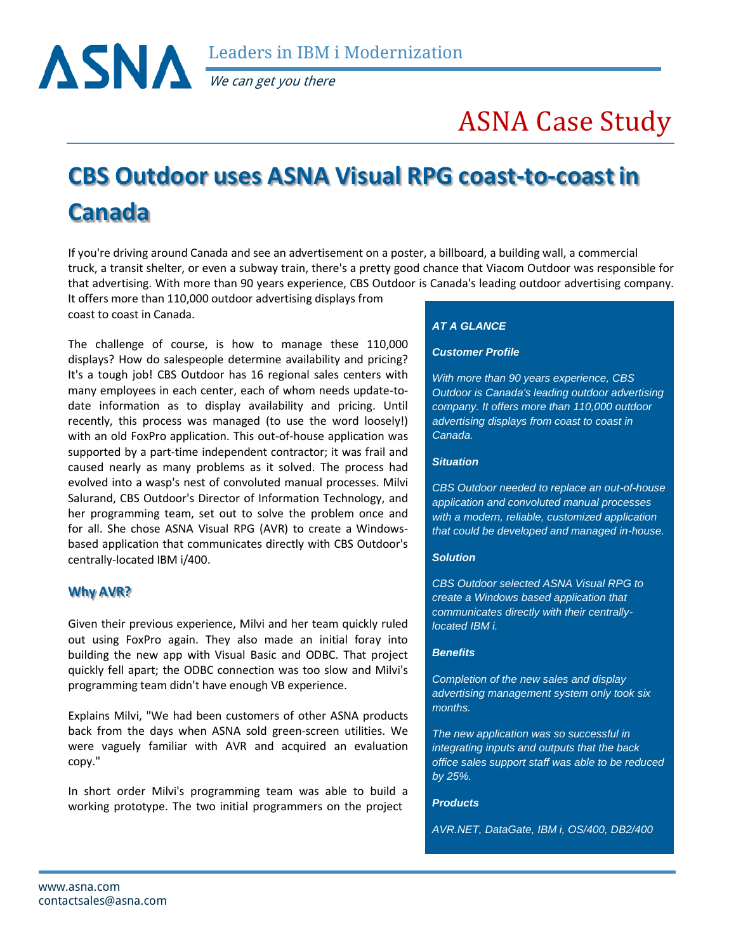We can get you there

# ASNA Case Study

## **CBS Outdoor uses ASNA Visual RPG coast-to-coastin Canada**

If you're driving around Canada and see an advertisement on a poster, a billboard, a building wall, a commercial truck, a transit shelter, or even a subway train, there's a pretty good chance that Viacom Outdoor was responsible for that advertising. With more than 90 years experience, CBS Outdoor is Canada's leading outdoor advertising company.

It offers more than 110,000 outdoor advertising displays from coast to coast in Canada.

The challenge of course, is how to manage these 110,000 displays? How do salespeople determine availability and pricing? It's a tough job! CBS Outdoor has 16 regional sales centers with many employees in each center, each of whom needs update-todate information as to display availability and pricing. Until recently, this process was managed (to use the word loosely!) with an old FoxPro application. This out-of-house application was supported by a part-time independent contractor; it was frail and caused nearly as many problems as it solved. The process had evolved into a wasp's nest of convoluted manual processes. Milvi Salurand, CBS Outdoor's Director of Information Technology, and her programming team, set out to solve the problem once and for all. She chose ASNA Visual RPG (AVR) to create a Windowsbased application that communicates directly with CBS Outdoor's centrally-located IBM i/400.

## **Why AVR?**

Given their previous experience, Milvi and her team quickly ruled out using FoxPro again. They also made an initial foray into building the new app with Visual Basic and ODBC. That project quickly fell apart; the ODBC connection was too slow and Milvi's programming team didn't have enough VB experience.

Explains Milvi, "We had been customers of other ASNA products back from the days when ASNA sold green-screen utilities. We were vaguely familiar with AVR and acquired an evaluation copy."

In short order Milvi's programming team was able to build a working prototype. The two initial programmers on the project

### *AT A GLANCE*

#### *Customer Profile*

*With more than 90 years experience, CBS Outdoor is Canada's leading outdoor advertising company. It offers more than 110,000 outdoor advertising displays from coast to coast in Canada.*

## *Situation*

*CBS Outdoor needed to replace an out-of-house application and convoluted manual processes with a modern, reliable, customized application that could be developed and managed in-house.*

#### *Solution*

*CBS Outdoor selected ASNA Visual RPG to create a Windows based application that communicates directly with their centrallylocated IBM i.*

#### *Benefits*

*Completion of the new sales and display advertising management system only took six months.*

*The new application was so successful in integrating inputs and outputs that the back office sales support staff was able to be reduced by 25%.*

#### *Products*

*AVR.NET, DataGate, IBM i, OS/400, DB2/400*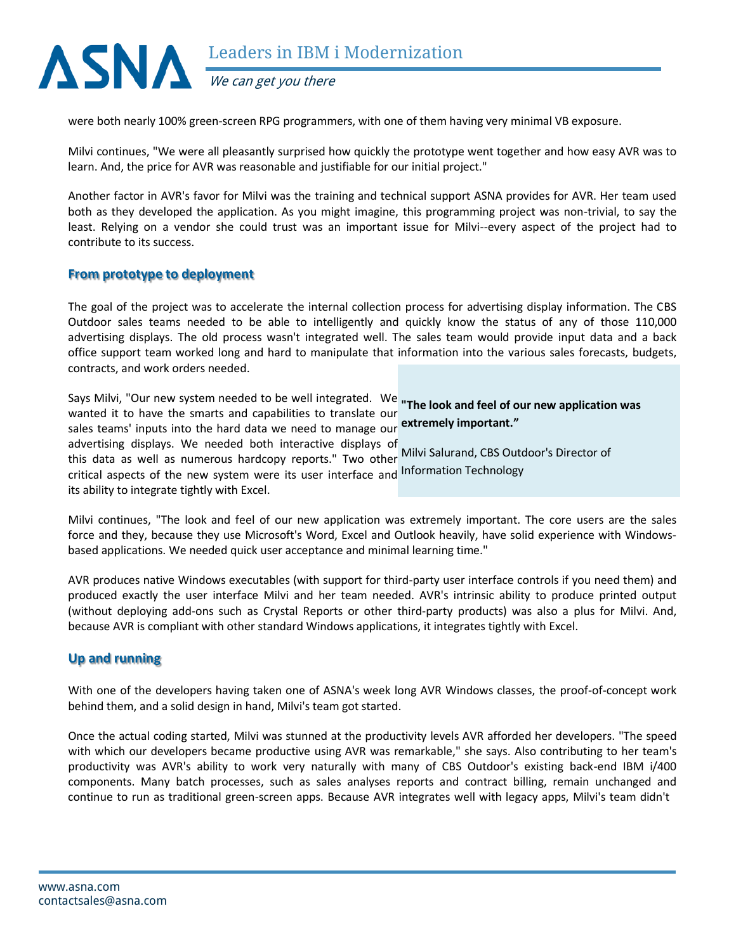

were both nearly 100% green-screen RPG programmers, with one of them having very minimal VB exposure.

Milvi continues, "We were all pleasantly surprised how quickly the prototype went together and how easy AVR was to learn. And, the price for AVR was reasonable and justifiable for our initial project."

Another factor in AVR's favor for Milvi was the training and technical support ASNA provides for AVR. Her team used both as they developed the application. As you might imagine, this programming project was non-trivial, to say the least. Relying on a vendor she could trust was an important issue for Milvi--every aspect of the project had to contribute to its success.

## **From prototype to deployment**

The goal of the project was to accelerate the internal collection process for advertising display information. The CBS Outdoor sales teams needed to be able to intelligently and quickly know the status of any of those 110,000 advertising displays. The old process wasn't integrated well. The sales team would provide input data and a back office support team worked long and hard to manipulate that information into the various sales forecasts, budgets, contracts, and work orders needed.

Says Milvi, "Our new system needed to be well integrated. We **"The look and feel of our new application was**  wanted it to have the smarts and capabilities to translate our sales teams' inputs into the hard data we need to manage our **extremely important."** advertising displays. We needed both interactive displays of this data as well as numerous hardcopy reports." Two other Milvi Salurand, CBS Outdoor's Director of critical aspects of the new system were its user interface and Information Technology its ability to integrate tightly with Excel.

Milvi continues, "The look and feel of our new application was extremely important. The core users are the sales force and they, because they use Microsoft's Word, Excel and Outlook heavily, have solid experience with Windowsbased applications. We needed quick user acceptance and minimal learning time."

AVR produces native Windows executables (with support for third-party user interface controls if you need them) and produced exactly the user interface Milvi and her team needed. AVR's intrinsic ability to produce printed output (without deploying add-ons such as Crystal Reports or other third-party products) was also a plus for Milvi. And, because AVR is compliant with other standard Windows applications, it integrates tightly with Excel.

## **Up and running**

With one of the developers having taken one of ASNA's week long AVR Windows classes, the proof-of-concept work behind them, and a solid design in hand, Milvi's team got started.

Once the actual coding started, Milvi was stunned at the productivity levels AVR afforded her developers. "The speed with which our developers became productive using AVR was remarkable," she says. Also contributing to her team's productivity was AVR's ability to work very naturally with many of CBS Outdoor's existing back-end IBM i/400 components. Many batch processes, such as sales analyses reports and contract billing, remain unchanged and continue to run as traditional green-screen apps. Because AVR integrates well with legacy apps, Milvi's team didn't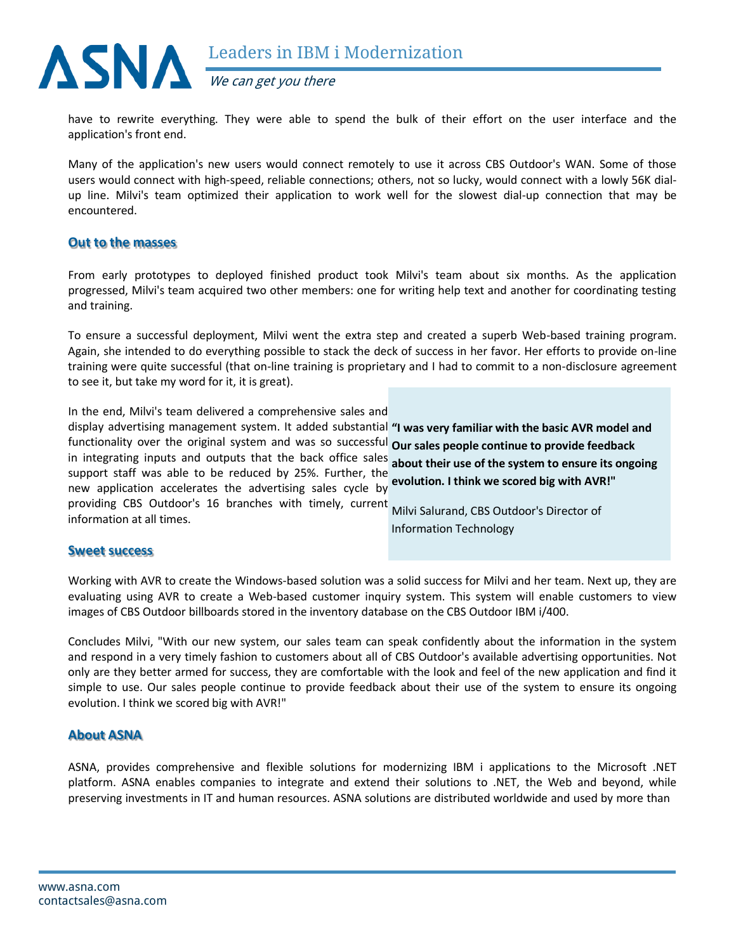

We can get you there

have to rewrite everything. They were able to spend the bulk of their effort on the user interface and the application's front end.

Many of the application's new users would connect remotely to use it across CBS Outdoor's WAN. Some of those users would connect with high-speed, reliable connections; others, not so lucky, would connect with a lowly 56K dialup line. Milvi's team optimized their application to work well for the slowest dial-up connection that may be encountered.

## **Out to the masses**

From early prototypes to deployed finished product took Milvi's team about six months. As the application progressed, Milvi's team acquired two other members: one for writing help text and another for coordinating testing and training.

To ensure a successful deployment, Milvi went the extra step and created a superb Web-based training program. Again, she intended to do everything possible to stack the deck of success in her favor. Her efforts to provide on-line training were quite successful (that on-line training is proprietary and I had to commit to a non-disclosure agreement to see it, but take my word for it, it is great).

In the end, Milvi's team delivered a comprehensive sales and

display advertising management system. It added substantial **"I was very familiar with the basic AVR model and**  functionality over the original system and was so successful **Our sales people continue to provide feedback**  in integrating inputs and outputs that the back office sales **about their use of the system to ensure its ongoing**  support staff was able to be reduced by 25%. Further, the new application accelerates the advertising sales cycle by providing CBS Outdoor's 16 branches with timely, current Milvi Salurand, CBS Outdoor's Director of **evolution. I think we scored big with AVR!"**

information at all times.

Information Technology

## **Sweet success**

Working with AVR to create the Windows-based solution was a solid success for Milvi and her team. Next up, they are evaluating using AVR to create a Web-based customer inquiry system. This system will enable customers to view images of CBS Outdoor billboards stored in the inventory database on the CBS Outdoor IBM i/400.

Concludes Milvi, "With our new system, our sales team can speak confidently about the information in the system and respond in a very timely fashion to customers about all of CBS Outdoor's available advertising opportunities. Not only are they better armed for success, they are comfortable with the look and feel of the new application and find it simple to use. Our sales people continue to provide feedback about their use of the system to ensure its ongoing evolution. I think we scored big with AVR!"

## **About ASNA**

ASNA, provides comprehensive and flexible solutions for modernizing IBM i applications to the Microsoft .NET platform. ASNA enables companies to integrate and extend their solutions to .NET, the Web and beyond, while preserving investments in IT and human resources. ASNA solutions are distributed worldwide and used by more than